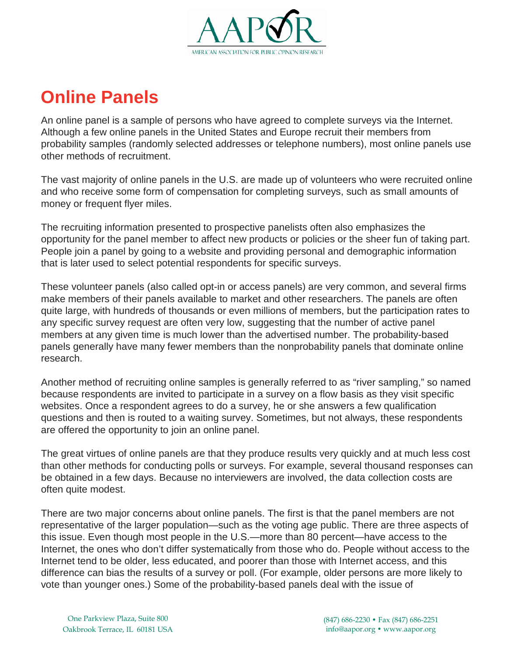

## **Online Panels**

An online panel is a sample of persons who have agreed to complete surveys via the Internet. Although a few online panels in the United States and Europe recruit their members from probability samples (randomly selected addresses or telephone numbers), most online panels use other methods of recruitment.

The vast majority of online panels in the U.S. are made up of volunteers who were recruited online and who receive some form of compensation for completing surveys, such as small amounts of money or frequent flyer miles.

The recruiting information presented to prospective panelists often also emphasizes the opportunity for the panel member to affect new products or policies or the sheer fun of taking part. People join a panel by going to a website and providing personal and demographic information that is later used to select potential respondents for specific surveys.

These volunteer panels (also called opt-in or access panels) are very common, and several firms make members of their panels available to market and other researchers. The panels are often quite large, with hundreds of thousands or even millions of members, but the participation rates to any specific survey request are often very low, suggesting that the number of active panel members at any given time is much lower than the advertised number. The probability-based panels generally have many fewer members than the nonprobability panels that dominate online research.

Another method of recruiting online samples is generally referred to as "river sampling," so named because respondents are invited to participate in a survey on a flow basis as they visit specific websites. Once a respondent agrees to do a survey, he or she answers a few qualification questions and then is routed to a waiting survey. Sometimes, but not always, these respondents are offered the opportunity to join an online panel.

The great virtues of online panels are that they produce results very quickly and at much less cost than other methods for conducting polls or surveys. For example, several thousand responses can be obtained in a few days. Because no interviewers are involved, the data collection costs are often quite modest.

There are two major concerns about online panels. The first is that the panel members are not representative of the larger population—such as the voting age public. There are three aspects of this issue. Even though most people in the U.S.—more than 80 percent—have access to the Internet, the ones who don't differ systematically from those who do. People without access to the Internet tend to be older, less educated, and poorer than those with Internet access, and this difference can bias the results of a survey or poll. (For example, older persons are more likely to vote than younger ones.) Some of the probability-based panels deal with the issue of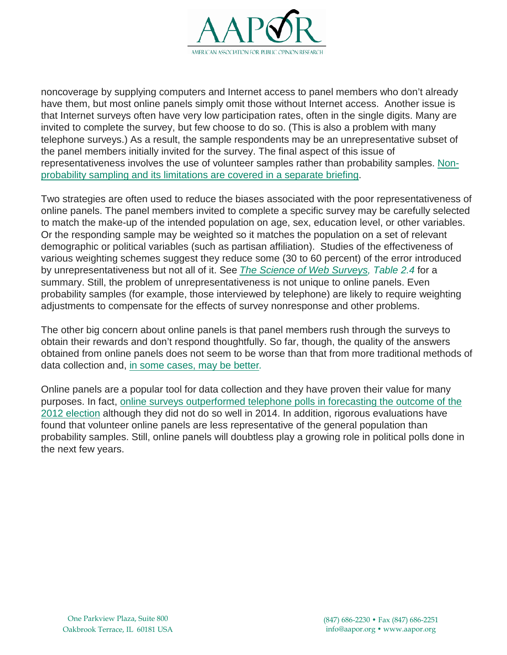

noncoverage by supplying computers and Internet access to panel members who don't already have them, but most online panels simply omit those without Internet access. Another issue is that Internet surveys often have very low participation rates, often in the single digits. Many are invited to complete the survey, but few choose to do so. (This is also a problem with many telephone surveys.) As a result, the sample respondents may be an unrepresentative subset of the panel members initially invited for the survey. The final aspect of this issue of representativeness involves the use of volunteer samples rather than probability samples. [Non](https://www.aapor.org/AAPORKentico/Education-Resources/Election-Polling-Resources/Sampling-Methods-for-Political-Polling.aspx)[probability](https://www.aapor.org/AAPORKentico/Education-Resources/Election-Polling-Resources/Sampling-Methods-for-Political-Polling.aspx) sampling and its limitations are covered in a separate briefing.

Two strategies are often used to reduce the biases associated with the poor representativeness of online panels. The panel members invited to complete a specific survey may be carefully selected to match the make-up of the intended population on age, sex, education level, or other variables. Or the responding sample may be weighted so it matches the population on a set of relevant demographic or political variables (such as partisan affiliation). Studies of the effectiveness of various weighting schemes suggest they reduce some (30 to 60 percent) of the error introduced by unrepresentativeness but not all of it. See *The Science of Web [Surveys,](http://www.oxfordscholarship.com/view/10.1093/acprof:oso/9780199747047.001.0001/acprof-9780199747047) Table 2.4* for a summary. Still, the problem of unrepresentativeness is not unique to online panels. Even probability samples (for example, those interviewed by telephone) are likely to require weighting adjustments to compensate for the effects of survey nonresponse and other problems.

The other big concern about online panels is that panel members rush through the surveys to obtain their rewards and don't respond thoughtfully. So far, though, the quality of the answers obtained from online panels does not seem to be worse than that from more traditional methods of data collection and, in some [cases,](http://www.oxfordscholarship.com/view/10.1093/acprof:oso/9780199747047.001.0001/acprof-9780199747047) may be better*.*

Online panels are a popular tool for data collection and they have proven their value for many purposes. In fact, online surveys [outperformed](http://fivethirtyeight.blogs.nytimes.com/2012/11/10/which-polls-fared-best-and-worst-in-the-2012-presidential-race/) telephone polls in forecasting the outcome of the 2012 [election](http://fivethirtyeight.blogs.nytimes.com/2012/11/10/which-polls-fared-best-and-worst-in-the-2012-presidential-race/) although they did not do so well in 2014. In addition, rigorous evaluations have found that volunteer online panels are less representative of the general population than probability samples. Still, online panels will doubtless play a growing role in political polls done in the next few years.